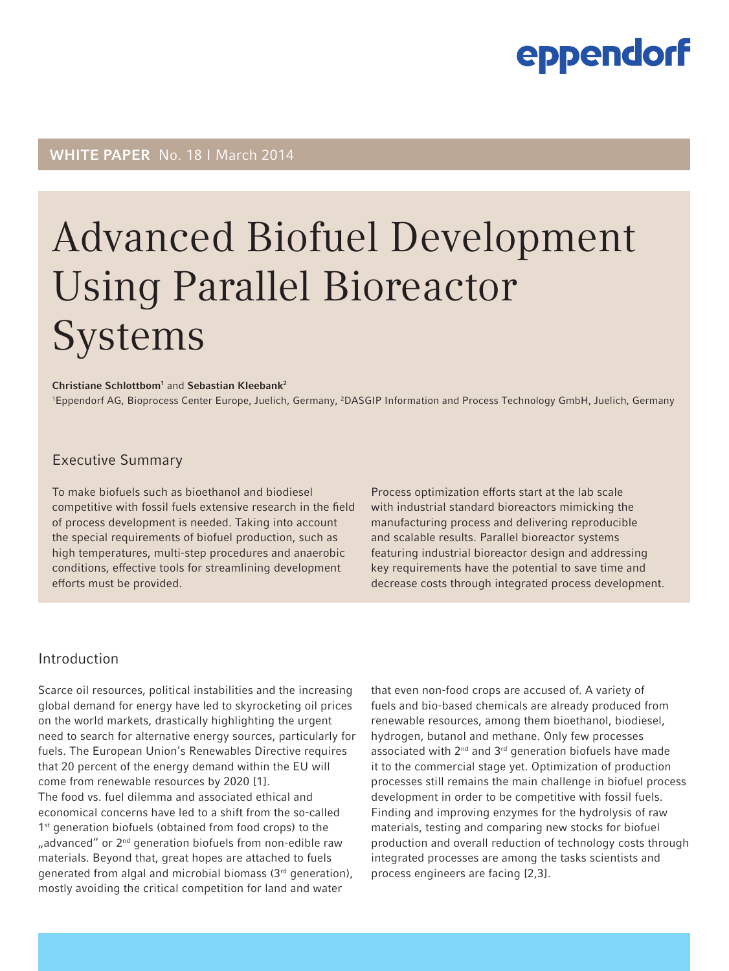## WHITE PAPER No. 18 I March 2014

# Advanced Biofuel Development Using Parallel Bioreactor **Systems**

#### Christiane Schlottbom<sup>1</sup> and Sebastian Kleebank<sup>2</sup>

<sup>1</sup>Eppendorf AG, Bioprocess Center Europe, Juelich, Germany, <sup>2</sup>DASGIP Information and Process Technology GmbH, Juelich, Germany

#### Executive Summary

To make biofuels such as bioethanol and biodiesel competitive with fossil fuels extensive research in the field of process development is needed. Taking into account the special requirements of biofuel production, such as high temperatures, multi-step procedures and anaerobic conditions, effective tools for streamlining development efforts must be provided.

Process optimization efforts start at the lab scale with industrial standard bioreactors mimicking the manufacturing process and delivering reproducible and scalable results. Parallel bioreactor systems featuring industrial bioreactor design and addressing key requirements have the potential to save time and decrease costs through integrated process development.

#### Introduction

Scarce oil resources, political instabilities and the increasing global demand for energy have led to skyrocketing oil prices on the world markets, drastically highlighting the urgent need to search for alternative energy sources, particularly for fuels. The European Union's Renewables Directive requires that 20 percent of the energy demand within the EU will come from renewable resources by 2020 [1].

The food vs. fuel dilemma and associated ethical and economical concerns have led to a shift from the so-called 1<sup>st</sup> generation biofuels (obtained from food crops) to the "advanced" or 2<sup>nd</sup> generation biofuels from non-edible raw materials. Beyond that, great hopes are attached to fuels generated from algal and microbial biomass  $(3<sup>rd</sup>$  generation), mostly avoiding the critical competition for land and water

that even non-food crops are accused of. A variety of fuels and bio-based chemicals are already produced from renewable resources, among them bioethanol, biodiesel, hydrogen, butanol and methane. Only few processes associated with  $2^{nd}$  and  $3^{rd}$  generation biofuels have made it to the commercial stage yet. Optimization of production processes still remains the main challenge in biofuel process development in order to be competitive with fossil fuels. Finding and improving enzymes for the hydrolysis of raw materials, testing and comparing new stocks for biofuel production and overall reduction of technology costs through integrated processes are among the tasks scientists and process engineers are facing [2,3].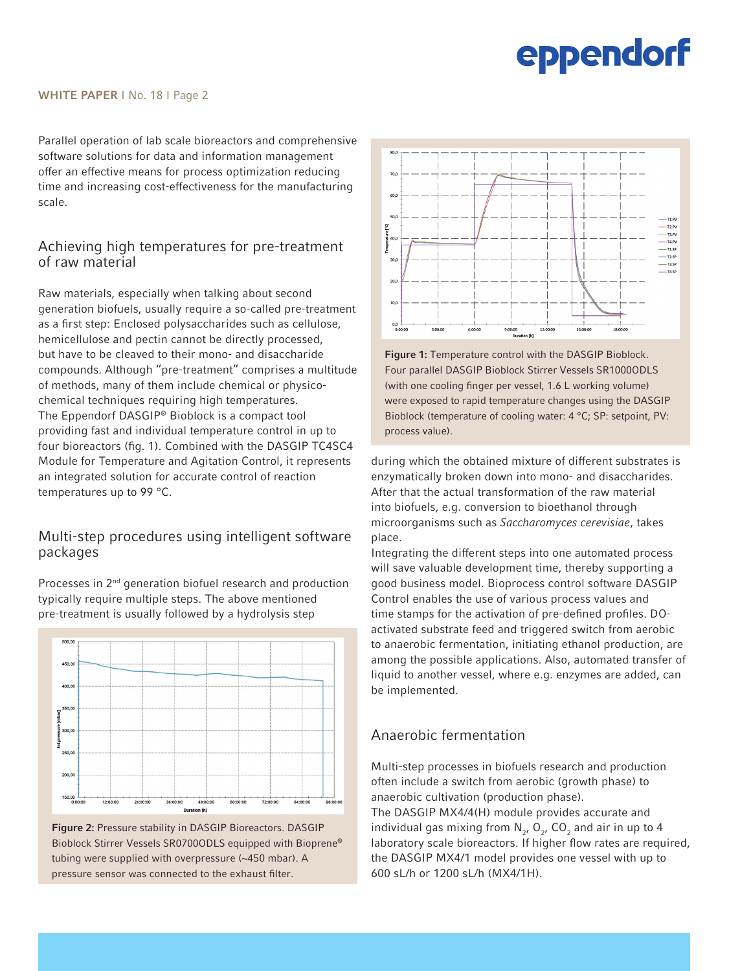#### WHITE PAPER | No. 18 | Page 2

Parallel operation of lab scale bioreactors and comprehensive software solutions for data and information management offer an effective means for process optimization reducing time and increasing cost-effectiveness for the manufacturing scale.

### Achieving high temperatures for pre-treatment of raw material

Raw materials, especially when talking about second generation biofuels, usually require a so-called pre-treatment as a first step: Enclosed polysaccharides such as cellulose, hemicellulose and pectin cannot be directly processed, but have to be cleaved to their mono- and disaccharide compounds. Although "pre-treatment" comprises a multitude of methods, many of them include chemical or physicochemical techniques requiring high temperatures. The Eppendorf DASGIP® Bioblock is a compact tool providing fast and individual temperature control in up to four bioreactors (fig. 1). Combined with the DASGIP TC4SC4 Module for Temperature and Agitation Control, it represents an integrated solution for accurate control of reaction temperatures up to 99 °C.

#### Multi-step procedures using intelligent software packages



Processes in 2<sup>nd</sup> generation biofuel research and production typically require multiple steps. The above mentioned pre-treatment is usually followed by a hydrolysis step



Figure 1: Temperature control with the DASGIP Bioblock. Four parallel DASGIP Bioblock Stirrer Vessels SR1000ODLS (with one cooling finger per vessel, 1.6 L working volume) were exposed to rapid temperature changes using the DASGIP Bioblock (temperature of cooling water: 4 °C; SP: setpoint, PV: process value).

during which the obtained mixture of different substrates is enzymatically broken down into mono- and disaccharides. After that the actual transformation of the raw material into biofuels, e.g. conversion to bioethanol through microorganisms such as *Saccharomyces cerevisiae*, takes place.

Integrating the different steps into one automated process will save valuable development time, thereby supporting a good business model. Bioprocess control software DASGIP Control enables the use of various process values and time stamps for the activation of pre-defined profiles. DOactivated substrate feed and triggered switch from aerobic to anaerobic fermentation, initiating ethanol production, are among the possible applications. Also, automated transfer of liquid to another vessel, where e.g. enzymes are added, can be implemented.

## Anaerobic fermentation

Multi-step processes in biofuels research and production often include a switch from aerobic (growth phase) to anaerobic cultivation (production phase). The DASGIP MX4/4(H) module provides accurate and individual gas mixing from  $N_{2}$ ,  $O_{2}$ ,  $CO_{2}$  and air in up to 4 laboratory scale bioreactors. If higher flow rates are required, the DASGIP MX4/1 model provides one vessel with up to 600 sL/h or 1200 sL/h (MX4/1H).

Figure 2: Pressure stability in DASGIP Bioreactors. DASGIP Bioblock Stirrer Vessels SR0700ODLS equipped with Bioprene® tubing were supplied with overpressure (~450 mbar). A pressure sensor was connected to the exhaust filter.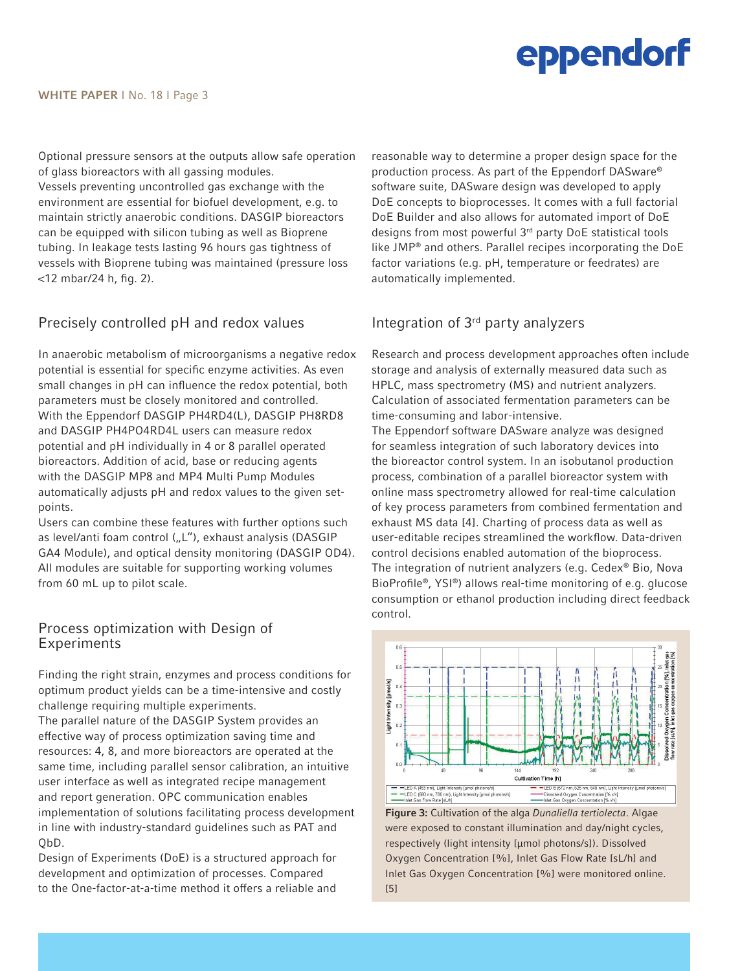Optional pressure sensors at the outputs allow safe operation of glass bioreactors with all gassing modules.

Vessels preventing uncontrolled gas exchange with the environment are essential for biofuel development, e.g. to maintain strictly anaerobic conditions. DASGIP bioreactors can be equipped with silicon tubing as well as Bioprene tubing. In leakage tests lasting 96 hours gas tightness of vessels with Bioprene tubing was maintained (pressure loss <12 mbar/24 h, fig. 2).

### Precisely controlled pH and redox values

In anaerobic metabolism of microorganisms a negative redox potential is essential for specific enzyme activities. As even small changes in pH can influence the redox potential, both parameters must be closely monitored and controlled. With the Eppendorf DASGIP PH4RD4(L), DASGIP PH8RD8 and DASGIP PH4PO4RD4L users can measure redox potential and pH individually in 4 or 8 parallel operated bioreactors. Addition of acid, base or reducing agents with the DASGIP MP8 and MP4 Multi Pump Modules automatically adjusts pH and redox values to the given setpoints.

Users can combine these features with further options such as level/anti foam control ("L"), exhaust analysis (DASGIP GA4 Module), and optical density monitoring (DASGIP OD4). All modules are suitable for supporting working volumes from 60 mL up to pilot scale.

#### Process optimization with Design of Experiments

Finding the right strain, enzymes and process conditions for optimum product yields can be a time-intensive and costly challenge requiring multiple experiments.

The parallel nature of the DASGIP System provides an effective way of process optimization saving time and resources: 4, 8, and more bioreactors are operated at the same time, including parallel sensor calibration, an intuitive user interface as well as integrated recipe management and report generation. OPC communication enables implementation of solutions facilitating process development in line with industry-standard guidelines such as PAT and QbD.

Design of Experiments (DoE) is a structured approach for development and optimization of processes. Compared to the One-factor-at-a-time method it offers a reliable and

reasonable way to determine a proper design space for the production process. As part of the Eppendorf DASware® software suite, DASware design was developed to apply DoE concepts to bioprocesses. It comes with a full factorial DoE Builder and also allows for automated import of DoE designs from most powerful 3rd party DoE statistical tools like JMP® and others. Parallel recipes incorporating the DoE factor variations (e.g. pH, temperature or feedrates) are automatically implemented.

## Integration of 3rd party analyzers

Research and process development approaches often include storage and analysis of externally measured data such as HPLC, mass spectrometry (MS) and nutrient analyzers. Calculation of associated fermentation parameters can be time-consuming and labor-intensive.

The Eppendorf software DASware analyze was designed for seamless integration of such laboratory devices into the bioreactor control system. In an isobutanol production process, combination of a parallel bioreactor system with online mass spectrometry allowed for real-time calculation of key process parameters from combined fermentation and exhaust MS data [4]. Charting of process data as well as user-editable recipes streamlined the workflow. Data-driven control decisions enabled automation of the bioprocess. The integration of nutrient analyzers (e.g. Cedex® Bio, Nova BioProfile®, YSI®) allows real-time monitoring of e.g. glucose consumption or ethanol production including direct feedback control.



Figure 3: Cultivation of the alga *Dunaliella tertiolecta*. Algae were exposed to constant illumination and day/night cycles, respectively (light intensity [μmol photons/s]). Dissolved Oxygen Concentration [%], Inlet Gas Flow Rate [sL/h] and Inlet Gas Oxygen Concentration [%] were monitored online. [5]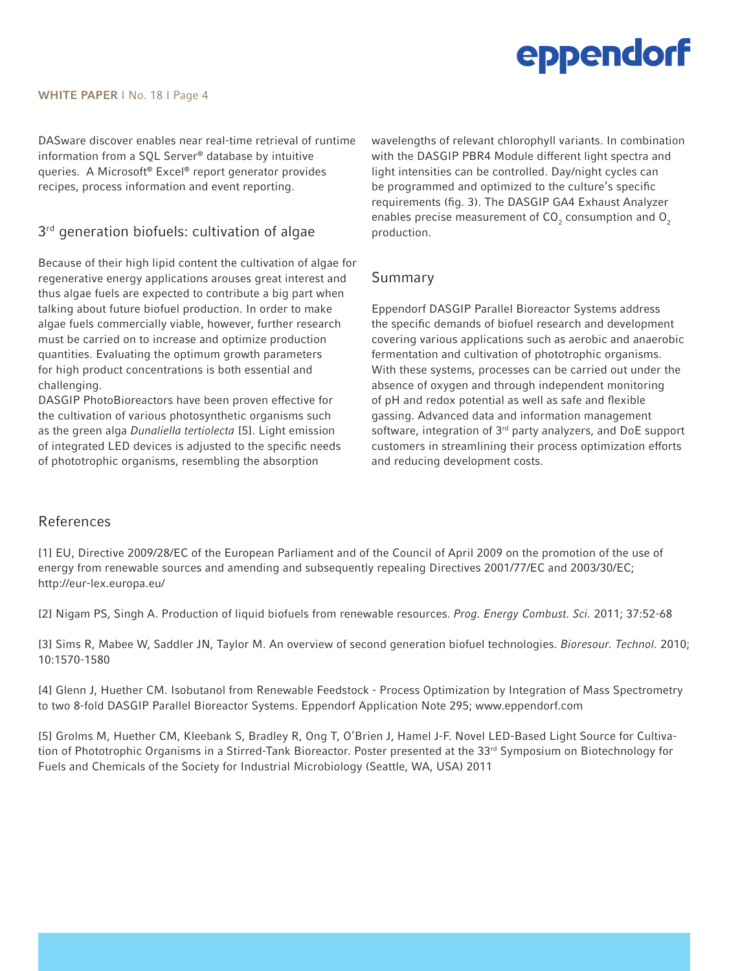DASware discover enables near real-time retrieval of runtime information from a SQL Server® database by intuitive queries. A Microsoft® Excel® report generator provides recipes, process information and event reporting.

## $3<sup>rd</sup>$  generation biofuels: cultivation of algae

Because of their high lipid content the cultivation of algae for regenerative energy applications arouses great interest and thus algae fuels are expected to contribute a big part when talking about future biofuel production. In order to make algae fuels commercially viable, however, further research must be carried on to increase and optimize production quantities. Evaluating the optimum growth parameters for high product concentrations is both essential and challenging.

DASGIP PhotoBioreactors have been proven effective for the cultivation of various photosynthetic organisms such as the green alga *Dunaliella tertiolecta* [5]. Light emission of integrated LED devices is adjusted to the specific needs of phototrophic organisms, resembling the absorption

wavelengths of relevant chlorophyll variants. In combination with the DASGIP PBR4 Module different light spectra and light intensities can be controlled. Day/night cycles can be programmed and optimized to the culture's specific requirements (fig. 3). The DASGIP GA4 Exhaust Analyzer enables precise measurement of CO<sub>2</sub> consumption and O<sub>2</sub> production.

## Summary

Eppendorf DASGIP Parallel Bioreactor Systems address the specific demands of biofuel research and development covering various applications such as aerobic and anaerobic fermentation and cultivation of phototrophic organisms. With these systems, processes can be carried out under the absence of oxygen and through independent monitoring of pH and redox potential as well as safe and flexible gassing. Advanced data and information management software, integration of 3<sup>rd</sup> party analyzers, and DoE support customers in streamlining their process optimization efforts and reducing development costs.

### References

[1] EU, Directive 2009/28/EC of the European Parliament and of the Council of April 2009 on the promotion of the use of energy from renewable sources and amending and subsequently repealing Directives 2001/77/EC and 2003/30/EC; http://eur-lex.europa.eu/

[2] Nigam PS, Singh A. Production of liquid biofuels from renewable resources. *Prog. Energy Combust. Sci.* 2011; 37:52-68

[3] Sims R, Mabee W, Saddler JN, Taylor M. An overview of second generation biofuel technologies. *Bioresour. Technol.* 2010; 10:1570-1580

[4] Glenn J, Huether CM. Isobutanol from Renewable Feedstock - Process Optimization by Integration of Mass Spectrometry to two 8-fold DASGIP Parallel Bioreactor Systems. Eppendorf Application Note 295; www.eppendorf.com

[5] Grolms M, Huether CM, Kleebank S, Bradley R, Ong T, O'Brien J, Hamel J-F. Novel LED-Based Light Source for Cultivation of Phototrophic Organisms in a Stirred-Tank Bioreactor. Poster presented at the 33<sup>rd</sup> Symposium on Biotechnology for Fuels and Chemicals of the Society for Industrial Microbiology (Seattle, WA, USA) 2011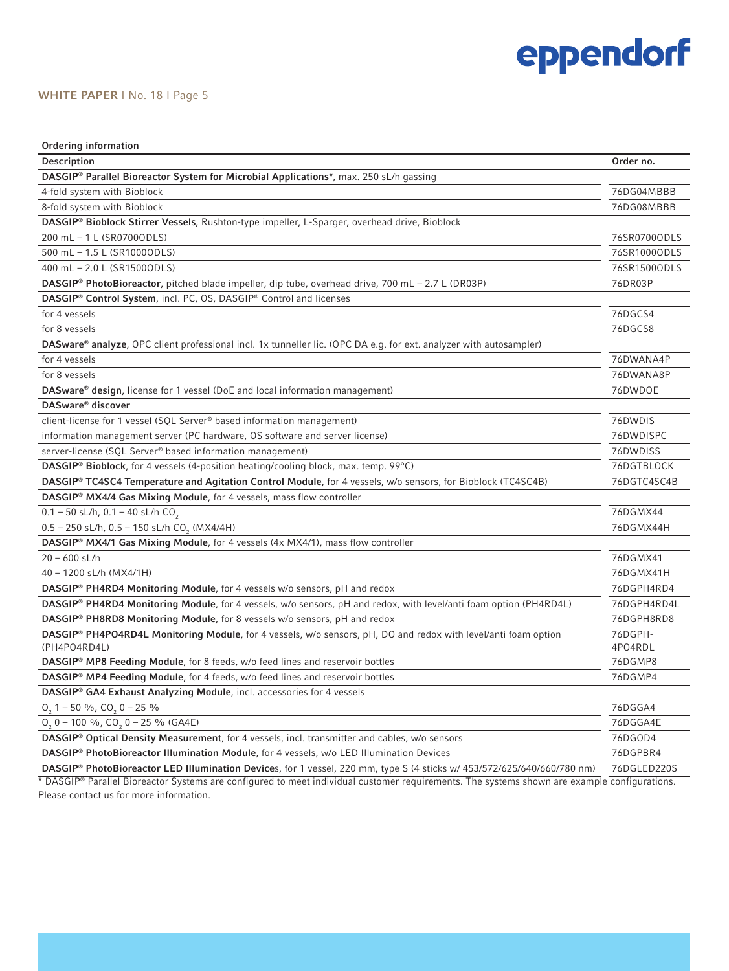#### WHITE PAPER | No. 18 | Page 5

| Ordering information                                                                                                    |              |
|-------------------------------------------------------------------------------------------------------------------------|--------------|
| Description                                                                                                             | Order no.    |
| DASGIP® Parallel Bioreactor System for Microbial Applications*, max. 250 sL/h gassing                                   |              |
| 4-fold system with Bioblock                                                                                             | 76DG04MBBB   |
| 8-fold system with Bioblock                                                                                             | 76DG08MBBB   |
| DASGIP® Bioblock Stirrer Vessels, Rushton-type impeller, L-Sparger, overhead drive, Bioblock                            |              |
| 200 mL - 1 L (SR07000DLS)                                                                                               | 76SR0700ODLS |
| 500 mL - 1.5 L (SR1000ODLS)                                                                                             | 76SR1000ODLS |
| 400 mL - 2.0 L (SR1500ODLS)                                                                                             | 76SR1500ODLS |
| DASGIP® PhotoBioreactor, pitched blade impeller, dip tube, overhead drive, 700 mL - 2.7 L (DR03P)                       | 76DR03P      |
| DASGIP® Control System, incl. PC, OS, DASGIP® Control and licenses                                                      |              |
| for 4 vessels                                                                                                           | 76DGCS4      |
| for 8 vessels                                                                                                           | 76DGCS8      |
| DASware® analyze, OPC client professional incl. 1x tunneller lic. (OPC DA e.g. for ext. analyzer with autosampler)      |              |
| for 4 vessels                                                                                                           | 76DWANA4P    |
| for 8 vessels                                                                                                           | 76DWANA8P    |
| DASware® design, license for 1 vessel (DoE and local information management)                                            | 76DWDOE      |
| DASware® discover                                                                                                       |              |
| client-license for 1 vessel (SQL Server® based information management)                                                  | 76DWDIS      |
| information management server (PC hardware, OS software and server license)                                             | 76DWDISPC    |
| server-license (SQL Server® based information management)                                                               | 76DWDISS     |
| DASGIP® Bioblock, for 4 vessels (4-position heating/cooling block, max. temp. 99°C)                                     | 76DGTBLOCK   |
| DASGIP® TC4SC4 Temperature and Agitation Control Module, for 4 vessels, w/o sensors, for Bioblock (TC4SC4B)             | 76DGTC4SC4B  |
| DASGIP® MX4/4 Gas Mixing Module, for 4 vessels, mass flow controller                                                    |              |
| $0.1 - 50$ sL/h, $0.1 - 40$ sL/h CO <sub>2</sub>                                                                        | 76DGMX44     |
| $0.5 - 250$ sL/h, $0.5 - 150$ sL/h CO <sub>2</sub> (MX4/4H)                                                             | 76DGMX44H    |
| <b>DASGIP® MX4/1 Gas Mixing Module, for 4 vessels (4x MX4/1), mass flow controller</b>                                  |              |
| $20 - 600$ sL/h                                                                                                         | 76DGMX41     |
| 40 - 1200 sL/h (MX4/1H)                                                                                                 | 76DGMX41H    |
| <b>DASGIP® PH4RD4 Monitoring Module, for 4 vessels w/o sensors, pH and redox</b>                                        | 76DGPH4RD4   |
| DASGIP® PH4RD4 Monitoring Module, for 4 vessels, w/o sensors, pH and redox, with level/anti foam option (PH4RD4L)       | 76DGPH4RD4L  |
| DASGIP® PH8RD8 Monitoring Module, for 8 vessels w/o sensors, pH and redox                                               | 76DGPH8RD8   |
| DASGIP® PH4PO4RD4L Monitoring Module, for 4 vessels, w/o sensors, pH, DO and redox with level/anti foam option          | 76DGPH-      |
| (PH4PO4RD4L)                                                                                                            | 4PO4RDL      |
| DASGIP® MP8 Feeding Module, for 8 feeds, w/o feed lines and reservoir bottles                                           | 76DGMP8      |
| DASGIP® MP4 Feeding Module, for 4 feeds, w/o feed lines and reservoir bottles                                           | 76DGMP4      |
| DASGIP <sup>®</sup> GA4 Exhaust Analyzing Module, incl. accessories for 4 vessels                                       |              |
| $0, 1 - 50$ %, $CO, 0 - 25$ %                                                                                           | 76DGGA4      |
| $0, 0 - 100$ %, CO, $0 - 25$ % (GA4E)                                                                                   | 76DGGA4E     |
| DASGIP <sup>®</sup> Optical Density Measurement, for 4 vessels, incl. transmitter and cables, w/o sensors               | 76DG0D4      |
| DASGIP <sup>®</sup> PhotoBioreactor Illumination Module, for 4 vessels, w/o LED Illumination Devices                    | 76DGPBR4     |
| DASGIP® PhotoBioreactor LED Illumination Devices, for 1 vessel, 220 mm, type S (4 sticks w/ 453/572/625/640/660/780 nm) | 76DGLED220S  |

\* DASGIP® Parallel Bioreactor Systems are configured to meet individual customer requirements. The systems shown are example configurations. Please contact us for more information.